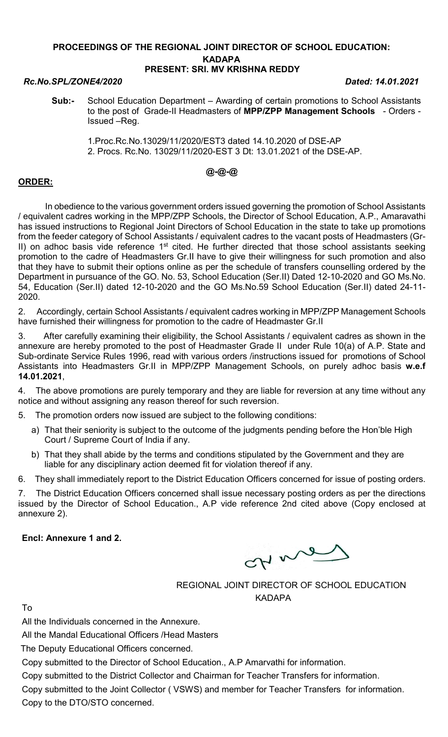#### PROCEEDINGS OF THE REGIONAL JOINT DIRECTOR OF SCHOOL EDUCATION: **KADAPA** PRESENT: SRI. MV KRISHNA REDDY

#### Rc.No.SPL/ZONE4/2020 Dated: 14.01.2021

- Sub:- School Education Department Awarding of certain promotions to School Assistants to the post of Grade-II Headmasters of MPP/ZPP Management Schools - Orders -Issued –Reg.
	- 1.Proc.Rc.No.13029/11/2020/EST3 dated 14.10.2020 of DSE-AP 2. Procs. Rc.No. 13029/11/2020-EST 3 Dt: 13.01.2021 of the DSE-AP.

# @-@-@

### ORDER:

 In obedience to the various government orders issued governing the promotion of School Assistants / equivalent cadres working in the MPP/ZPP Schools, the Director of School Education, A.P., Amaravathi has issued instructions to Regional Joint Directors of School Education in the state to take up promotions from the feeder category of School Assistants / equivalent cadres to the vacant posts of Headmasters (Gr-II) on adhoc basis vide reference 1<sup>st</sup> cited. He further directed that those school assistants seeking promotion to the cadre of Headmasters Gr.II have to give their willingness for such promotion and also that they have to submit their options online as per the schedule of transfers counselling ordered by the Department in pursuance of the GO. No. 53, School Education (Ser.II) Dated 12-10-2020 and GO Ms.No. 54, Education (Ser.II) dated 12-10-2020 and the GO Ms.No.59 School Education (Ser.II) dated 24-11- 2020.

2. Accordingly, certain School Assistants / equivalent cadres working in MPP/ZPP Management Schools have furnished their willingness for promotion to the cadre of Headmaster Gr.II

3. After carefully examining their eligibility, the School Assistants / equivalent cadres as shown in the annexure are hereby promoted to the post of Headmaster Grade II under Rule 10(a) of A.P. State and Sub-ordinate Service Rules 1996, read with various orders /instructions issued for promotions of School Assistants into Headmasters Gr.II in MPP/ZPP Management Schools, on purely adhoc basis w.e.f 14.01.2021,

4. The above promotions are purely temporary and they are liable for reversion at any time without any notice and without assigning any reason thereof for such reversion.

5. The promotion orders now issued are subject to the following conditions:

- a) That their seniority is subject to the outcome of the judgments pending before the Hon'ble High Court / Supreme Court of India if any.
- b) That they shall abide by the terms and conditions stipulated by the Government and they are liable for any disciplinary action deemed fit for violation thereof if any.

6. They shall immediately report to the District Education Officers concerned for issue of posting orders.

7. The District Education Officers concerned shall issue necessary posting orders as per the directions issued by the Director of School Education., A.P vide reference 2nd cited above (Copy enclosed at annexure 2).

Encl: Annexure 1 and 2.

ON Me

REGIONAL JOINT DIRECTOR OF SCHOOL EDUCATION KADAPA

To

All the Individuals concerned in the Annexure.

All the Mandal Educational Officers /Head Masters

The Deputy Educational Officers concerned.

Copy submitted to the Director of School Education., A.P Amarvathi for information.

Copy submitted to the District Collector and Chairman for Teacher Transfers for information.

Copy submitted to the Joint Collector ( VSWS) and member for Teacher Transfers for information. Copy to the DTO/STO concerned.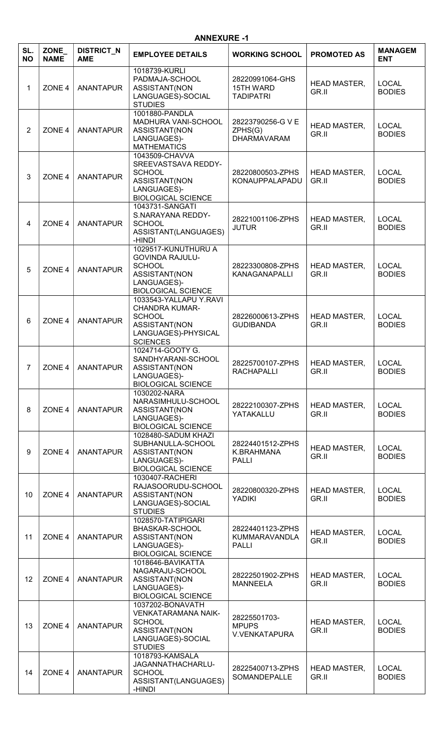# ANNEXURE -1

| SL.<br><b>NO</b> | ZONE<br><b>NAME</b> | <b>DISTRICT_N</b><br><b>AME</b> | <b>EMPLOYEE DETAILS</b>                                                                                                     | <b>WORKING SCHOOL</b>                              | <b>PROMOTED AS</b>           | <b>MANAGEM</b><br><b>ENT</b>  |
|------------------|---------------------|---------------------------------|-----------------------------------------------------------------------------------------------------------------------------|----------------------------------------------------|------------------------------|-------------------------------|
| $\mathbf{1}$     | ZONE <sub>4</sub>   | <b>ANANTAPUR</b>                | 1018739-KURLI<br>PADMAJA-SCHOOL<br>ASSISTANT(NON<br>LANGUAGES)-SOCIAL<br><b>STUDIES</b>                                     | 28220991064-GHS<br>15TH WARD<br><b>TADIPATRI</b>   | <b>HEAD MASTER,</b><br>GR.II | <b>LOCAL</b><br><b>BODIES</b> |
| $\overline{2}$   | ZONE <sub>4</sub>   | <b>ANANTAPUR</b>                | 1001880-PANDLA<br>MADHURA VANI-SCHOOL<br>ASSISTANT(NON<br>LANGUAGES)-<br><b>MATHEMATICS</b>                                 | 28223790256-G V E<br>ZPHS(G)<br><b>DHARMAVARAM</b> | <b>HEAD MASTER,</b><br>GR.II | <b>LOCAL</b><br><b>BODIES</b> |
| 3                | ZONE <sub>4</sub>   | <b>ANANTAPUR</b>                | 1043509-CHAVVA<br>SREEVASTSAVA REDDY-<br><b>SCHOOL</b><br>ASSISTANT(NON<br>LANGUAGES)-<br><b>BIOLOGICAL SCIENCE</b>         | 28220800503-ZPHS<br>KONAUPPALAPADU                 | <b>HEAD MASTER,</b><br>GR.II | <b>LOCAL</b><br><b>BODIES</b> |
| $\overline{4}$   | ZONE <sub>4</sub>   | <b>ANANTAPUR</b>                | 1043731-SANGATI<br>S.NARAYANA REDDY-<br><b>SCHOOL</b><br>ASSISTANT(LANGUAGES)<br>-HINDI                                     | 28221001106-ZPHS<br><b>JUTUR</b>                   | <b>HEAD MASTER,</b><br>GR.II | <b>LOCAL</b><br><b>BODIES</b> |
| 5                | ZONE <sub>4</sub>   | <b>ANANTAPUR</b>                | 1029517-KUNUTHURU A<br><b>GOVINDA RAJULU-</b><br><b>SCHOOL</b><br>ASSISTANT(NON<br>LANGUAGES)-<br><b>BIOLOGICAL SCIENCE</b> | 28223300808-ZPHS<br><b>KANAGANAPALLI</b>           | <b>HEAD MASTER,</b><br>GR.II | <b>LOCAL</b><br><b>BODIES</b> |
| 6                | ZONE <sub>4</sub>   | <b>ANANTAPUR</b>                | 1033543-YALLAPU Y.RAVI<br><b>CHANDRA KUMAR-</b><br><b>SCHOOL</b><br>ASSISTANT(NON<br>LANGUAGES)-PHYSICAL<br><b>SCIENCES</b> | 28226000613-ZPHS<br><b>GUDIBANDA</b>               | <b>HEAD MASTER,</b><br>GR.II | <b>LOCAL</b><br><b>BODIES</b> |
| 7                | ZONE <sub>4</sub>   | <b>ANANTAPUR</b>                | 1024714-GOOTY G.<br>SANDHYARANI-SCHOOL<br>ASSISTANT(NON<br>LANGUAGES)-<br><b>BIOLOGICAL SCIENCE</b>                         | 28225700107-ZPHS<br><b>RACHAPALLI</b>              | <b>HEAD MASTER,</b><br>GR.II | <b>LOCAL</b><br><b>BODIES</b> |
| 8                | ZONE <sub>4</sub>   | <b>ANANTAPUR</b>                | 1030202-NARA<br>NARASIMHULU-SCHOOL<br>ASSISTANT(NON<br>LANGUAGES)-<br><b>BIOLOGICAL SCIENCE</b>                             | 28222100307-ZPHS<br>YATAKALLU                      | <b>HEAD MASTER,</b><br>GR.II | <b>LOCAL</b><br><b>BODIES</b> |
| 9                | ZONE <sub>4</sub>   | <b>ANANTAPUR</b>                | 1028480-SADUM KHAZI<br>SUBHANULLA-SCHOOL<br>ASSISTANT(NON<br>LANGUAGES)-<br><b>BIOLOGICAL SCIENCE</b>                       | 28224401512-ZPHS<br>K.BRAHMANA<br><b>PALLI</b>     | <b>HEAD MASTER,</b><br>GR.II | <b>LOCAL</b><br><b>BODIES</b> |
| 10               | ZONE <sub>4</sub>   | <b>ANANTAPUR</b>                | 1030407-RACHERI<br>RAJASOORUDU-SCHOOL<br>ASSISTANT(NON<br>LANGUAGES)-SOCIAL<br><b>STUDIES</b>                               | 28220800320-ZPHS<br><b>YADIKI</b>                  | <b>HEAD MASTER,</b><br>GR.II | <b>LOCAL</b><br><b>BODIES</b> |
| 11               | ZONE <sub>4</sub>   | <b>ANANTAPUR</b>                | 1028570-TATIPIGARI<br>BHASKAR-SCHOOL<br>ASSISTANT(NON<br>LANGUAGES)-<br><b>BIOLOGICAL SCIENCE</b>                           | 28224401123-ZPHS<br>KUMMARAVANDLA<br><b>PALLI</b>  | <b>HEAD MASTER,</b><br>GR.II | <b>LOCAL</b><br><b>BODIES</b> |
| 12               | ZONE <sub>4</sub>   | <b>ANANTAPUR</b>                | 1018646-BAVIKATTA<br>NAGARAJU-SCHOOL<br>ASSISTANT(NON<br>LANGUAGES)-<br><b>BIOLOGICAL SCIENCE</b>                           | 28222501902-ZPHS<br><b>MANNEELA</b>                | <b>HEAD MASTER,</b><br>GR.II | <b>LOCAL</b><br><b>BODIES</b> |
| 13               | ZONE <sub>4</sub>   | <b>ANANTAPUR</b>                | 1037202-BONAVATH<br>VENKATARAMANA NAIK-<br><b>SCHOOL</b><br>ASSISTANT(NON<br>LANGUAGES)-SOCIAL<br><b>STUDIES</b>            | 28225501703-<br><b>MPUPS</b><br>V.VENKATAPURA      | <b>HEAD MASTER,</b><br>GR.II | <b>LOCAL</b><br><b>BODIES</b> |
| 14               | ZONE <sub>4</sub>   | <b>ANANTAPUR</b>                | 1018793-KAMSALA<br>JAGANNATHACHARLU-<br><b>SCHOOL</b><br>ASSISTANT(LANGUAGES)<br>-HINDI                                     | 28225400713-ZPHS<br>SOMANDEPALLE                   | <b>HEAD MASTER,</b><br>GR.II | <b>LOCAL</b><br><b>BODIES</b> |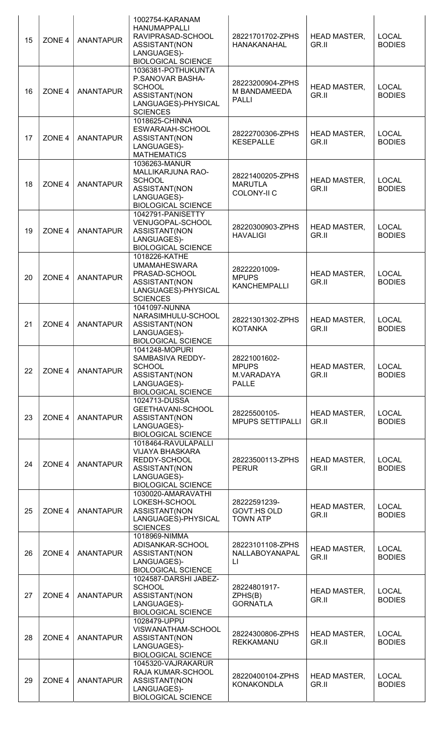| 15 | ZONE <sub>4</sub> | <b>ANANTAPUR</b> | 1002754-KARANAM<br><b>HANUMAPPALLI</b><br>RAVIPRASAD-SCHOOL<br>ASSISTANT(NON<br>LANGUAGES)-<br><b>BIOLOGICAL SCIENCE</b>   | 28221701702-ZPHS<br>HANAKANAHAL                               | <b>HEAD MASTER,</b><br>GR.II | <b>LOCAL</b><br><b>BODIES</b> |
|----|-------------------|------------------|----------------------------------------------------------------------------------------------------------------------------|---------------------------------------------------------------|------------------------------|-------------------------------|
| 16 | ZONE <sub>4</sub> | <b>ANANTAPUR</b> | 1036381-POTHUKUNTA<br>P.SANOVAR BASHA-<br><b>SCHOOL</b><br>ASSISTANT(NON<br>LANGUAGES)-PHYSICAL<br><b>SCIENCES</b>         | 28223200904-ZPHS<br>M BANDAMEEDA<br><b>PALLI</b>              | <b>HEAD MASTER,</b><br>GR.II | <b>LOCAL</b><br><b>BODIES</b> |
| 17 | ZONE <sub>4</sub> | <b>ANANTAPUR</b> | 1018625-CHINNA<br>ESWARAIAH-SCHOOL<br>ASSISTANT(NON<br>LANGUAGES)-<br><b>MATHEMATICS</b>                                   | 28222700306-ZPHS<br><b>KESEPALLE</b>                          | <b>HEAD MASTER,</b><br>GR.II | <b>LOCAL</b><br><b>BODIES</b> |
| 18 | ZONE <sub>4</sub> | <b>ANANTAPUR</b> | 1036263-MANUR<br>MALLIKARJUNA RAO-<br><b>SCHOOL</b><br>ASSISTANT(NON<br>LANGUAGES)-<br><b>BIOLOGICAL SCIENCE</b>           | 28221400205-ZPHS<br><b>MARUTLA</b><br><b>COLONY-II C</b>      | <b>HEAD MASTER,</b><br>GR.II | <b>LOCAL</b><br><b>BODIES</b> |
| 19 | ZONE <sub>4</sub> | <b>ANANTAPUR</b> | 1042791-PANISETTY<br>VENUGOPAL-SCHOOL<br>ASSISTANT(NON<br>LANGUAGES)-<br><b>BIOLOGICAL SCIENCE</b>                         | 28220300903-ZPHS<br><b>HAVALIGI</b>                           | <b>HEAD MASTER,</b><br>GR.II | <b>LOCAL</b><br><b>BODIES</b> |
| 20 | ZONE <sub>4</sub> | <b>ANANTAPUR</b> | 1018226-KATHE<br><b>UMAMAHESWARA</b><br>PRASAD-SCHOOL<br>ASSISTANT(NON<br>LANGUAGES)-PHYSICAL<br><b>SCIENCES</b>           | 28222201009-<br><b>MPUPS</b><br><b>KANCHEMPALLI</b>           | <b>HEAD MASTER,</b><br>GR.II | <b>LOCAL</b><br><b>BODIES</b> |
| 21 | ZONE <sub>4</sub> | <b>ANANTAPUR</b> | 1041097-NUNNA<br>NARASIMHULU-SCHOOL<br>ASSISTANT(NON<br>LANGUAGES)-<br>BIOLOGICAL SCIENCE                                  | 28221301302-ZPHS<br><b>KOTANKA</b>                            | <b>HEAD MASTER,</b><br>GR.II | <b>LOCAL</b><br><b>BODIES</b> |
| 22 | ZONE <sub>4</sub> | <b>ANANTAPUR</b> | 1041248-MOPURI<br>SAMBASIVA REDDY-<br><b>SCHOOL</b><br>ASSISTANT(NON<br>LANGUAGES)-<br><b>BIOLOGICAL SCIENCE</b>           | 28221001602-<br><b>MPUPS</b><br>M.VARADAYA<br><b>PALLE</b>    | <b>HEAD MASTER,</b><br>GR.II | <b>LOCAL</b><br><b>BODIES</b> |
| 23 | ZONE <sub>4</sub> | <b>ANANTAPUR</b> | 1024713-DUSSA<br>GEETHAVANI-SCHOOL<br>ASSISTANT(NON<br>LANGUAGES)-<br><b>BIOLOGICAL SCIENCE</b>                            | 28225500105-<br><b>MPUPS SETTIPALLI</b>                       | <b>HEAD MASTER,</b><br>GR.II | <b>LOCAL</b><br><b>BODIES</b> |
| 24 | ZONE <sub>4</sub> | <b>ANANTAPUR</b> | 1018464-RAVULAPALLI<br><b>VIJAYA BHASKARA</b><br>REDDY-SCHOOL<br>ASSISTANT(NON<br>LANGUAGES)-<br><b>BIOLOGICAL SCIENCE</b> | 28223500113-ZPHS<br><b>PERUR</b>                              | <b>HEAD MASTER,</b><br>GR.II | <b>LOCAL</b><br><b>BODIES</b> |
| 25 | ZONE <sub>4</sub> | <b>ANANTAPUR</b> | 1030020-AMARAVATHI<br>LOKESH-SCHOOL<br>ASSISTANT(NON<br>LANGUAGES)-PHYSICAL<br><b>SCIENCES</b>                             | 28222591239-<br>GOVT.HS OLD<br><b>TOWN ATP</b>                | <b>HEAD MASTER,</b><br>GR.II | <b>LOCAL</b><br><b>BODIES</b> |
| 26 | ZONE <sub>4</sub> | <b>ANANTAPUR</b> | 1018969-NIMMA<br>ADISANKAR-SCHOOL<br>ASSISTANT(NON<br>LANGUAGES)-<br><b>BIOLOGICAL SCIENCE</b>                             | 28223101108-ZPHS<br>NALLABOYANAPAL<br>$\lfloor \cdot \rfloor$ | <b>HEAD MASTER,</b><br>GR.II | <b>LOCAL</b><br><b>BODIES</b> |
| 27 | ZONE <sub>4</sub> | <b>ANANTAPUR</b> | 1024587-DARSHI JABEZ-<br><b>SCHOOL</b><br>ASSISTANT(NON<br>LANGUAGES)-<br><b>BIOLOGICAL SCIENCE</b>                        | 28224801917-<br>ZPHS(B)<br><b>GORNATLA</b>                    | <b>HEAD MASTER,</b><br>GR.II | <b>LOCAL</b><br><b>BODIES</b> |
| 28 | ZONE 4            | <b>ANANTAPUR</b> | 1028479-UPPU<br>VISWANATHAM-SCHOOL<br>ASSISTANT(NON<br>LANGUAGES)-<br><b>BIOLOGICAL SCIENCE</b>                            | 28224300806-ZPHS<br><b>REKKAMANU</b>                          | <b>HEAD MASTER,</b><br>GR.II | <b>LOCAL</b><br><b>BODIES</b> |
| 29 | ZONE 4            | <b>ANANTAPUR</b> | 1045320-VAJRAKARUR<br>RAJA KUMAR-SCHOOL<br>ASSISTANT(NON<br>LANGUAGES)-<br><b>BIOLOGICAL SCIENCE</b>                       | 28220400104-ZPHS<br><b>KONAKONDLA</b>                         | <b>HEAD MASTER,</b><br>GR.II | <b>LOCAL</b><br><b>BODIES</b> |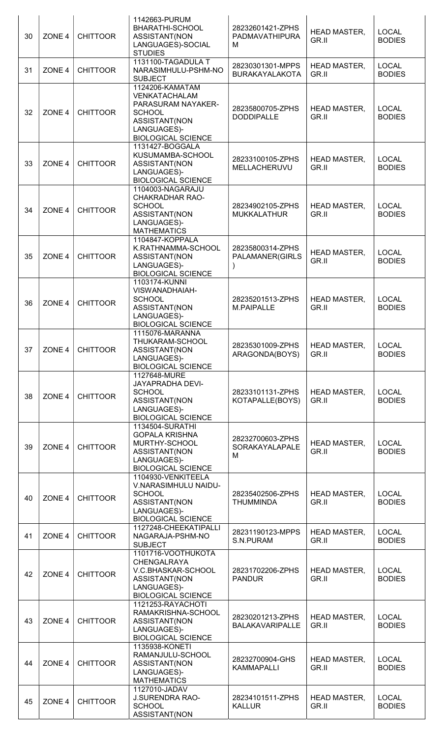| 30 | ZONE <sub>4</sub> | <b>CHITTOOR</b> | 1142663-PURUM<br>BHARATHI-SCHOOL<br>ASSISTANT(NON<br>LANGUAGES)-SOCIAL<br><b>STUDIES</b>                                             | 28232601421-ZPHS<br><b>PADMAVATHIPURA</b><br>M | <b>HEAD MASTER,</b><br>GR.II | <b>LOCAL</b><br><b>BODIES</b> |
|----|-------------------|-----------------|--------------------------------------------------------------------------------------------------------------------------------------|------------------------------------------------|------------------------------|-------------------------------|
| 31 | ZONE <sub>4</sub> | <b>CHITTOOR</b> | 1131100-TAGADULA T<br>NARASIMHULU-PSHM-NO<br><b>SUBJECT</b>                                                                          | 28230301301-MPPS<br><b>BURAKAYALAKOTA</b>      | <b>HEAD MASTER,</b><br>GR.II | <b>LOCAL</b><br><b>BODIES</b> |
| 32 | ZONE <sub>4</sub> | <b>CHITTOOR</b> | 1124206-KAMATAM<br>VENKATACHALAM<br>PARASURAM NAYAKER-<br><b>SCHOOL</b><br>ASSISTANT(NON<br>LANGUAGES)-<br><b>BIOLOGICAL SCIENCE</b> | 28235800705-ZPHS<br><b>DODDIPALLE</b>          | <b>HEAD MASTER,</b><br>GR.II | <b>LOCAL</b><br><b>BODIES</b> |
| 33 | ZONE <sub>4</sub> | <b>CHITTOOR</b> | 1131427-BOGGALA<br>KUSUMAMBA-SCHOOL<br>ASSISTANT(NON<br>LANGUAGES)-<br><b>BIOLOGICAL SCIENCE</b>                                     | 28233100105-ZPHS<br>MELLACHERUVU               | <b>HEAD MASTER,</b><br>GR.II | <b>LOCAL</b><br><b>BODIES</b> |
| 34 | ZONE <sub>4</sub> | <b>CHITTOOR</b> | 1104003-NAGARAJU<br><b>CHAKRADHAR RAO-</b><br><b>SCHOOL</b><br>ASSISTANT(NON<br>LANGUAGES)-<br><b>MATHEMATICS</b>                    | 28234902105-ZPHS<br><b>MUKKALATHUR</b>         | <b>HEAD MASTER,</b><br>GR.II | <b>LOCAL</b><br><b>BODIES</b> |
| 35 | ZONE <sub>4</sub> | <b>CHITTOOR</b> | 1104847-KOPPALA<br>K.RATHNAMMA-SCHOOL<br>ASSISTANT(NON<br>LANGUAGES)-<br><b>BIOLOGICAL SCIENCE</b>                                   | 28235800314-ZPHS<br>PALAMANER(GIRLS            | <b>HEAD MASTER,</b><br>GR.II | <b>LOCAL</b><br><b>BODIES</b> |
| 36 | ZONE <sub>4</sub> | <b>CHITTOOR</b> | 1103174-KUNNI<br>VISWANADHAIAH-<br><b>SCHOOL</b><br>ASSISTANT(NON<br>LANGUAGES)-<br><b>BIOLOGICAL SCIENCE</b>                        | 28235201513-ZPHS<br>M.PAIPALLE                 | <b>HEAD MASTER,</b><br>GR.II | <b>LOCAL</b><br><b>BODIES</b> |
| 37 | ZONE <sub>4</sub> | <b>CHITTOOR</b> | 1115076-MARANNA<br>THUKARAM-SCHOOL<br>ASSISTANT(NON<br>LANGUAGES)-<br><b>BIOLOGICAL SCIENCE</b>                                      | 28235301009-ZPHS<br>ARAGONDA(BOYS)             | <b>HEAD MASTER,</b><br>GR.II | <b>LOCAL</b><br><b>BODIES</b> |
| 38 | ZONE <sub>4</sub> | <b>CHITTOOR</b> | 1127648-MURE<br><b>JAYAPRADHA DEVI-</b><br><b>SCHOOL</b><br>ASSISTANT(NON<br>LANGUAGES)-<br><b>BIOLOGICAL SCIENCE</b>                | 28233101131-ZPHS<br>KOTAPALLE(BOYS)            | <b>HEAD MASTER,</b><br>GR.II | <b>LOCAL</b><br><b>BODIES</b> |
| 39 | ZONE <sub>4</sub> | <b>CHITTOOR</b> | 1134504-SURATHI<br><b>GOPALA KRISHNA</b><br>MURTHY-SCHOOL<br>ASSISTANT(NON<br>LANGUAGES)-<br><b>BIOLOGICAL SCIENCE</b>               | 28232700603-ZPHS<br>SORAKAYALAPALE<br>M        | <b>HEAD MASTER,</b><br>GR.II | <b>LOCAL</b><br><b>BODIES</b> |
| 40 | ZONE 4            | <b>CHITTOOR</b> | 1104930-VENKITEELA<br>V.NARASIMHULU NAIDU-<br><b>SCHOOL</b><br>ASSISTANT(NON<br>LANGUAGES)-<br><b>BIOLOGICAL SCIENCE</b>             | 28235402506-ZPHS<br>THUMMINDA                  | <b>HEAD MASTER,</b><br>GR.II | <b>LOCAL</b><br><b>BODIES</b> |
| 41 | ZONE <sub>4</sub> | <b>CHITTOOR</b> | 1127248-CHEEKATIPALLI<br>NAGARAJA-PSHM-NO<br><b>SUBJECT</b>                                                                          | 28231190123-MPPS<br>S.N.PURAM                  | <b>HEAD MASTER,</b><br>GR.II | <b>LOCAL</b><br><b>BODIES</b> |
| 42 | ZONE <sub>4</sub> | <b>CHITTOOR</b> | 1101716-VOOTHUKOTA<br>CHENGALRAYA<br>V.C.BHASKAR-SCHOOL<br>ASSISTANT(NON<br>LANGUAGES)-<br><b>BIOLOGICAL SCIENCE</b>                 | 28231702206-ZPHS<br><b>PANDUR</b>              | <b>HEAD MASTER,</b><br>GR.II | <b>LOCAL</b><br><b>BODIES</b> |
| 43 | ZONE <sub>4</sub> | <b>CHITTOOR</b> | 1121253-RAYACHOTI<br>RAMAKRISHNA-SCHOOL<br>ASSISTANT(NON<br>LANGUAGES)-<br><b>BIOLOGICAL SCIENCE</b>                                 | 28230201213-ZPHS<br><b>BALAKAVARIPALLE</b>     | <b>HEAD MASTER,</b><br>GR.II | <b>LOCAL</b><br><b>BODIES</b> |
| 44 | ZONE <sub>4</sub> | <b>CHITTOOR</b> | 1135938-KONETI<br>RAMANJULU-SCHOOL<br>ASSISTANT(NON<br>LANGUAGES)-<br><b>MATHEMATICS</b>                                             | 28232700904-GHS<br><b>KAMMAPALLI</b>           | <b>HEAD MASTER,</b><br>GR.II | <b>LOCAL</b><br><b>BODIES</b> |
| 45 | ZONE <sub>4</sub> | <b>CHITTOOR</b> | 1127010-JADAV<br><b>J.SURENDRA RAO-</b><br><b>SCHOOL</b><br>ASSISTANT(NON                                                            | 28234101511-ZPHS<br><b>KALLUR</b>              | <b>HEAD MASTER,</b><br>GR.II | <b>LOCAL</b><br><b>BODIES</b> |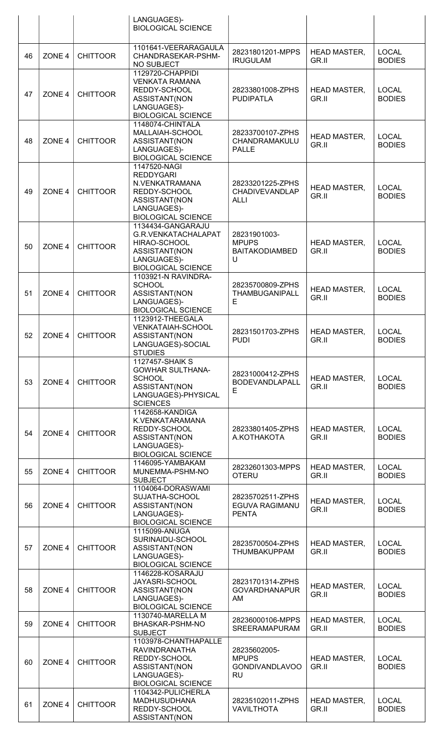|    |                    |                 | LANGUAGES)-<br><b>BIOLOGICAL SCIENCE</b>                                                                                        |                                                             |                              |                               |
|----|--------------------|-----------------|---------------------------------------------------------------------------------------------------------------------------------|-------------------------------------------------------------|------------------------------|-------------------------------|
| 46 | ZONE <sub>4</sub>  | <b>CHITTOOR</b> | 1101641-VEERARAGAULA<br>CHANDRASEKAR-PSHM-<br><b>NO SUBJECT</b><br>1129720-CHAPPIDI                                             | 28231801201-MPPS<br><b>IRUGULAM</b>                         | <b>HEAD MASTER,</b><br>GR.II | <b>LOCAL</b><br><b>BODIES</b> |
| 47 | ZONE <sub>4</sub>  | <b>CHITTOOR</b> | <b>VENKATA RAMANA</b><br>REDDY-SCHOOL<br>ASSISTANT(NON<br>LANGUAGES)-<br><b>BIOLOGICAL SCIENCE</b>                              | 28233801008-ZPHS<br><b>PUDIPATLA</b>                        | <b>HEAD MASTER,</b><br>GR.II | <b>LOCAL</b><br><b>BODIES</b> |
| 48 | ZONE <sub>4</sub>  | <b>CHITTOOR</b> | 1148074-CHINTALA<br>MALLAIAH-SCHOOL<br>ASSISTANT(NON<br>LANGUAGES)-<br><b>BIOLOGICAL SCIENCE</b>                                | 28233700107-ZPHS<br>CHANDRAMAKULU<br><b>PALLE</b>           | <b>HEAD MASTER,</b><br>GR.II | <b>LOCAL</b><br><b>BODIES</b> |
| 49 | ZONE <sub>4</sub>  | <b>CHITTOOR</b> | 1147520-NAGI<br><b>REDDYGARI</b><br>N.VENKATRAMANA<br>REDDY-SCHOOL<br>ASSISTANT(NON<br>LANGUAGES)-<br><b>BIOLOGICAL SCIENCE</b> | 28233201225-ZPHS<br>CHADIVEVANDLAP<br><b>ALLI</b>           | <b>HEAD MASTER,</b><br>GR.II | <b>LOCAL</b><br><b>BODIES</b> |
| 50 | ZONE <sub>4</sub>  | <b>CHITTOOR</b> | 1134434-GANGARAJU<br>G.R.VENKATACHALAPAT<br>HIRAO-SCHOOL<br>ASSISTANT(NON<br>LANGUAGES)-<br><b>BIOLOGICAL SCIENCE</b>           | 28231901003-<br><b>MPUPS</b><br><b>BAITAKODIAMBED</b><br>U  | <b>HEAD MASTER,</b><br>GR.II | <b>LOCAL</b><br><b>BODIES</b> |
| 51 | ZONE <sub>4</sub>  | <b>CHITTOOR</b> | 1103921-N RAVINDRA-<br><b>SCHOOL</b><br>ASSISTANT(NON<br>LANGUAGES)-<br><b>BIOLOGICAL SCIENCE</b>                               | 28235700809-ZPHS<br><b>THAMBUGANIPALL</b><br>E              | <b>HEAD MASTER,</b><br>GR.II | <b>LOCAL</b><br><b>BODIES</b> |
| 52 | ZONE 4 $\parallel$ | <b>CHITTOOR</b> | 1123912-THEEGALA<br><b>VENKATAIAH-SCHOOL</b><br>ASSISTANT(NON<br>LANGUAGES)-SOCIAL<br><b>STUDIES</b>                            | 28231501703-ZPHS<br><b>PUDI</b>                             | <b>HEAD MASTER,</b><br>GR.II | <b>LOCAL</b><br><b>BODIES</b> |
| 53 | ZONE <sub>4</sub>  | <b>CHITTOOR</b> | 1127457-SHAIK S<br><b>GOWHAR SULTHANA-</b><br><b>SCHOOL</b><br>ASSISTANT(NON<br>LANGUAGES)-PHYSICAL<br><b>SCIENCES</b>          | 28231000412-ZPHS<br><b>BODEVANDLAPALL</b><br>Е              | <b>HEAD MASTER,</b><br>GR.II | <b>LOCAL</b><br><b>BODIES</b> |
| 54 | ZONE <sub>4</sub>  | <b>CHITTOOR</b> | 1142658-KANDIGA<br>K.VENKATARAMANA<br>REDDY-SCHOOL<br>ASSISTANT(NON<br>LANGUAGES)-<br><b>BIOLOGICAL SCIENCE</b>                 | 28233801405-ZPHS<br>A.KOTHAKOTA                             | <b>HEAD MASTER,</b><br>GR.II | <b>LOCAL</b><br><b>BODIES</b> |
| 55 | ZONE <sub>4</sub>  | <b>CHITTOOR</b> | 1146095-YAMBAKAM<br>MUNEMMA-PSHM-NO<br><b>SUBJECT</b>                                                                           | 28232601303-MPPS<br><b>OTERU</b>                            | <b>HEAD MASTER,</b><br>GR.II | <b>LOCAL</b><br><b>BODIES</b> |
| 56 | ZONE <sub>4</sub>  | <b>CHITTOOR</b> | 1104064-DORASWAMI<br>SUJATHA-SCHOOL<br>ASSISTANT(NON<br>LANGUAGES)-<br><b>BIOLOGICAL SCIENCE</b>                                | 28235702511-ZPHS<br>EGUVA RAGIMANU<br><b>PENTA</b>          | <b>HEAD MASTER,</b><br>GR.II | <b>LOCAL</b><br><b>BODIES</b> |
| 57 | ZONE <sub>4</sub>  | <b>CHITTOOR</b> | 1115099-ANUGA<br>SURINAIDU-SCHOOL<br>ASSISTANT(NON<br>LANGUAGES)-<br><b>BIOLOGICAL SCIENCE</b>                                  | 28235700504-ZPHS<br><b>THUMBAKUPPAM</b>                     | <b>HEAD MASTER,</b><br>GR.II | <b>LOCAL</b><br><b>BODIES</b> |
| 58 | ZONE <sub>4</sub>  | <b>CHITTOOR</b> | 1146228-KOSARAJU<br>JAYASRI-SCHOOL<br>ASSISTANT(NON<br>LANGUAGES)-<br><b>BIOLOGICAL SCIENCE</b>                                 | 28231701314-ZPHS<br><b>GOVARDHANAPUR</b><br>AM              | <b>HEAD MASTER,</b><br>GR.II | <b>LOCAL</b><br><b>BODIES</b> |
| 59 | ZONE <sub>4</sub>  | <b>CHITTOOR</b> | 1130740-MARELLA M<br>BHASKAR-PSHM-NO<br><b>SUBJECT</b>                                                                          | 28236000106-MPPS<br><b>SREERAMAPURAM</b>                    | <b>HEAD MASTER,</b><br>GR.II | <b>LOCAL</b><br><b>BODIES</b> |
| 60 | ZONE 4             | <b>CHITTOOR</b> | 1103978-CHANTHAPALLE<br><b>RAVINDRANATHA</b><br>REDDY-SCHOOL<br>ASSISTANT(NON<br>LANGUAGES)-<br><b>BIOLOGICAL SCIENCE</b>       | 28235602005-<br><b>MPUPS</b><br><b>GONDIVANDLAVOO</b><br>RU | <b>HEAD MASTER,</b><br>GR.II | <b>LOCAL</b><br><b>BODIES</b> |
| 61 | ZONE <sub>4</sub>  | <b>CHITTOOR</b> | 1104342-PULICHERLA<br><b>MADHUSUDHANA</b><br>REDDY-SCHOOL<br>ASSISTANT(NON                                                      | 28235102011-ZPHS<br><b>VAVILTHOTA</b>                       | <b>HEAD MASTER,</b><br>GR.II | <b>LOCAL</b><br><b>BODIES</b> |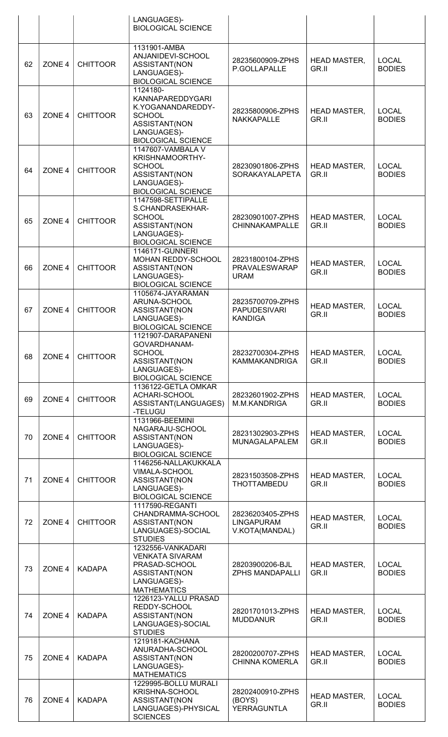|    |                   |                 | LANGUAGES)-<br><b>BIOLOGICAL SCIENCE</b>                                                                                               |                                                           |                              |                               |
|----|-------------------|-----------------|----------------------------------------------------------------------------------------------------------------------------------------|-----------------------------------------------------------|------------------------------|-------------------------------|
| 62 | ZONE <sub>4</sub> | <b>CHITTOOR</b> | 1131901-AMBA<br>ANJANIDEVI-SCHOOL<br>ASSISTANT(NON<br>LANGUAGES)-<br><b>BIOLOGICAL SCIENCE</b>                                         | 28235600909-ZPHS<br>P.GOLLAPALLE                          | <b>HEAD MASTER,</b><br>GR.II | <b>LOCAL</b><br><b>BODIES</b> |
| 63 | ZONE <sub>4</sub> | <b>CHITTOOR</b> | 1124180-<br><b>KANNAPAREDDYGARI</b><br>K.YOGANANDAREDDY-<br><b>SCHOOL</b><br>ASSISTANT(NON<br>LANGUAGES)-<br><b>BIOLOGICAL SCIENCE</b> | 28235800906-ZPHS<br><b>NAKKAPALLE</b>                     | <b>HEAD MASTER,</b><br>GR.II | <b>LOCAL</b><br><b>BODIES</b> |
| 64 | ZONE <sub>4</sub> | <b>CHITTOOR</b> | 1147607-VAMBALA V<br>KRISHNAMOORTHY-<br><b>SCHOOL</b><br>ASSISTANT(NON<br>LANGUAGES)-<br><b>BIOLOGICAL SCIENCE</b>                     | 28230901806-ZPHS<br><b>SORAKAYALAPETA</b>                 | <b>HEAD MASTER,</b><br>GR.II | <b>LOCAL</b><br><b>BODIES</b> |
| 65 | ZONE <sub>4</sub> | <b>CHITTOOR</b> | 1147598-SETTIPALLE<br>S.CHANDRASEKHAR-<br><b>SCHOOL</b><br>ASSISTANT(NON<br>LANGUAGES)-<br><b>BIOLOGICAL SCIENCE</b>                   | 28230901007-ZPHS<br><b>CHINNAKAMPALLE</b>                 | <b>HEAD MASTER,</b><br>GR.II | <b>LOCAL</b><br><b>BODIES</b> |
| 66 | ZONE <sub>4</sub> | <b>CHITTOOR</b> | 1146171-GUNNERI<br>MOHAN REDDY-SCHOOL<br>ASSISTANT(NON<br>LANGUAGES)-<br><b>BIOLOGICAL SCIENCE</b>                                     | 28231800104-ZPHS<br>PRAVALESWARAP<br><b>URAM</b>          | <b>HEAD MASTER,</b><br>GR.II | <b>LOCAL</b><br><b>BODIES</b> |
| 67 | ZONE <sub>4</sub> | <b>CHITTOOR</b> | 1105674-JAYARAMAN<br>ARUNA-SCHOOL<br>ASSISTANT(NON<br>LANGUAGES)-<br><b>BIOLOGICAL SCIENCE</b>                                         | 28235700709-ZPHS<br><b>PAPUDESIVARI</b><br><b>KANDIGA</b> | <b>HEAD MASTER,</b><br>GR.II | <b>LOCAL</b><br><b>BODIES</b> |
| 68 | ZONE <sub>4</sub> | <b>CHITTOOR</b> | 1121907-DARAPANENI<br>GOVARDHANAM-<br><b>SCHOOL</b><br>ASSISTANT(NON<br>LANGUAGES)-<br><b>BIOLOGICAL SCIENCE</b>                       | 28232700304-ZPHS<br><b>KAMMAKANDRIGA</b>                  | <b>HEAD MASTER,</b><br>GR.II | <b>LOCAL</b><br><b>BODIES</b> |
| 69 | ZONE <sub>4</sub> | <b>CHITTOOR</b> | 1136122-GETLA OMKAR<br>ACHARI-SCHOOL<br>ASSISTANT(LANGUAGES)<br>-TELUGU                                                                | 28232601902-ZPHS<br>M.M.KANDRIGA                          | <b>HEAD MASTER,</b><br>GR.II | <b>LOCAL</b><br><b>BODIES</b> |
| 70 | ZONE <sub>4</sub> | <b>CHITTOOR</b> | 1131966-BEEMINI<br>NAGARAJU-SCHOOL<br>ASSISTANT(NON<br>LANGUAGES)-<br><b>BIOLOGICAL SCIENCE</b>                                        | 28231302903-ZPHS<br><b>MUNAGALAPALEM</b>                  | <b>HEAD MASTER,</b><br>GR.II | <b>LOCAL</b><br><b>BODIES</b> |
| 71 | ZONE <sub>4</sub> | <b>CHITTOOR</b> | 1146256-NALLAKUKKALA<br>VIMALA-SCHOOL<br>ASSISTANT(NON<br>LANGUAGES)-<br><b>BIOLOGICAL SCIENCE</b>                                     | 28231503508-ZPHS<br>THOTTAMBEDU                           | <b>HEAD MASTER,</b><br>GR.II | <b>LOCAL</b><br><b>BODIES</b> |
| 72 | ZONE <sub>4</sub> | <b>CHITTOOR</b> | 1117590-REGANTI<br>CHANDRAMMA-SCHOOL<br>ASSISTANT(NON<br>LANGUAGES)-SOCIAL<br><b>STUDIES</b>                                           | 28236203405-ZPHS<br><b>LINGAPURAM</b><br>V.KOTA(MANDAL)   | <b>HEAD MASTER,</b><br>GR.II | <b>LOCAL</b><br><b>BODIES</b> |
| 73 | ZONE <sub>4</sub> | <b>KADAPA</b>   | 1232556-VANKADARI<br><b>VENKATA SIVARAM</b><br>PRASAD-SCHOOL<br>ASSISTANT(NON<br>LANGUAGES)-<br><b>MATHEMATICS</b>                     | 28203900206-BJL<br><b>ZPHS MANDAPALLI</b>                 | <b>HEAD MASTER,</b><br>GR.II | <b>LOCAL</b><br><b>BODIES</b> |
| 74 | ZONE <sub>4</sub> | <b>KADAPA</b>   | 1226123-YALLU PRASAD<br>REDDY-SCHOOL<br>ASSISTANT(NON<br>LANGUAGES)-SOCIAL<br><b>STUDIES</b>                                           | 28201701013-ZPHS<br><b>MUDDANUR</b>                       | <b>HEAD MASTER,</b><br>GR.II | <b>LOCAL</b><br><b>BODIES</b> |
| 75 | ZONE <sub>4</sub> | <b>KADAPA</b>   | 1219181-KACHANA<br>ANURADHA-SCHOOL<br>ASSISTANT(NON<br>LANGUAGES)-<br><b>MATHEMATICS</b>                                               | 28200200707-ZPHS<br><b>CHINNA KOMERLA</b>                 | <b>HEAD MASTER,</b><br>GR.II | <b>LOCAL</b><br><b>BODIES</b> |
| 76 | ZONE 4            | <b>KADAPA</b>   | 1229995-BOLLU MURALI<br><b>KRISHNA-SCHOOL</b><br>ASSISTANT(NON<br>LANGUAGES)-PHYSICAL<br><b>SCIENCES</b>                               | 28202400910-ZPHS<br>(BOYS)<br><b>YERRAGUNTLA</b>          | <b>HEAD MASTER,</b><br>GR.II | <b>LOCAL</b><br><b>BODIES</b> |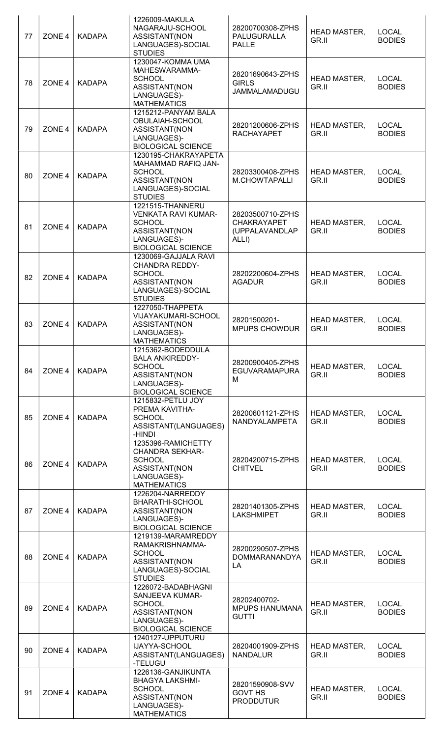| 77 | ZONE <sub>4</sub> | <b>KADAPA</b> | 1226009-MAKULA<br>NAGARAJU-SCHOOL<br>ASSISTANT(NON<br>LANGUAGES)-SOCIAL<br><b>STUDIES</b>                                    | 28200700308-ZPHS<br><b>PALUGURALLA</b><br><b>PALLE</b>            | <b>HEAD MASTER,</b><br>GR.II | <b>LOCAL</b><br><b>BODIES</b> |
|----|-------------------|---------------|------------------------------------------------------------------------------------------------------------------------------|-------------------------------------------------------------------|------------------------------|-------------------------------|
| 78 | ZONE <sub>4</sub> | <b>KADAPA</b> | 1230047-KOMMA UMA<br>MAHESWARAMMA-<br><b>SCHOOL</b><br>ASSISTANT(NON<br>LANGUAGES)-<br><b>MATHEMATICS</b>                    | 28201690643-ZPHS<br><b>GIRLS</b><br>JAMMALAMADUGU                 | <b>HEAD MASTER,</b><br>GR.II | <b>LOCAL</b><br><b>BODIES</b> |
| 79 | ZONE <sub>4</sub> | <b>KADAPA</b> | 1215212-PANYAM BALA<br>OBULAIAH-SCHOOL<br>ASSISTANT(NON<br>LANGUAGES)-<br><b>BIOLOGICAL SCIENCE</b>                          | 28201200606-ZPHS<br><b>RACHAYAPET</b>                             | <b>HEAD MASTER,</b><br>GR.II | <b>LOCAL</b><br><b>BODIES</b> |
| 80 | ZONE <sub>4</sub> | <b>KADAPA</b> | 1230195-CHAKRAYAPETA<br>MAHAMMAD RAFIQ JAN-<br><b>SCHOOL</b><br>ASSISTANT(NON<br>LANGUAGES)-SOCIAL<br><b>STUDIES</b>         | 28203300408-ZPHS<br>M.CHOWTAPALLI                                 | <b>HEAD MASTER,</b><br>GR.II | <b>LOCAL</b><br><b>BODIES</b> |
| 81 | ZONE <sub>4</sub> | <b>KADAPA</b> | 1221515-THANNERU<br><b>VENKATA RAVI KUMAR-</b><br><b>SCHOOL</b><br>ASSISTANT(NON<br>LANGUAGES)-<br><b>BIOLOGICAL SCIENCE</b> | 28203500710-ZPHS<br><b>CHAKRAYAPET</b><br>(UPPALAVANDLAP<br>ALLI) | <b>HEAD MASTER,</b><br>GR.II | <b>LOCAL</b><br><b>BODIES</b> |
| 82 | ZONE <sub>4</sub> | <b>KADAPA</b> | 1230069-GAJJALA RAVI<br>CHANDRA REDDY-<br><b>SCHOOL</b><br>ASSISTANT(NON<br>LANGUAGES)-SOCIAL<br><b>STUDIES</b>              | 28202200604-ZPHS<br><b>AGADUR</b>                                 | <b>HEAD MASTER,</b><br>GR.II | <b>LOCAL</b><br><b>BODIES</b> |
| 83 | ZONE <sub>4</sub> | <b>KADAPA</b> | 1227050-THAPPETA<br>VIJAYAKUMARI-SCHOOL<br>ASSISTANT(NON<br>LANGUAGES)-<br><b>MATHEMATICS</b>                                | 28201500201-<br><b>MPUPS CHOWDUR</b>                              | <b>HEAD MASTER,</b><br>GR.II | <b>LOCAL</b><br><b>BODIES</b> |
| 84 | ZONE <sub>4</sub> | <b>KADAPA</b> | 1215362-BODEDDULA<br><b>BALA ANKIREDDY-</b><br><b>SCHOOL</b><br>ASSISTANT(NON<br>LANGUAGES)-<br><b>BIOLOGICAL SCIENCE</b>    | 28200900405-ZPHS<br><b>EGUVARAMAPURA</b><br>M                     | <b>HEAD MASTER,</b><br>GR.II | <b>LOCAL</b><br><b>BODIES</b> |
| 85 | ZONE <sub>4</sub> | <b>KADAPA</b> | 1215832-PETLU JOY<br>PREMA KAVITHA-<br><b>SCHOOL</b><br>ASSISTANT(LANGUAGES)<br>-HINDI                                       | 28200601121-ZPHS<br>NANDYALAMPETA                                 | <b>HEAD MASTER,</b><br>GR.II | <b>LOCAL</b><br><b>BODIES</b> |
| 86 | ZONE <sub>4</sub> | <b>KADAPA</b> | 1235396-RAMICHETTY<br><b>CHANDRA SEKHAR-</b><br><b>SCHOOL</b><br>ASSISTANT(NON<br>LANGUAGES)-<br><b>MATHEMATICS</b>          | 28204200715-ZPHS<br><b>CHITVEL</b>                                | <b>HEAD MASTER,</b><br>GR.II | <b>LOCAL</b><br><b>BODIES</b> |
| 87 | ZONE <sub>4</sub> | <b>KADAPA</b> | 1226204-NARREDDY<br>BHARATHI-SCHOOL<br>ASSISTANT(NON<br>LANGUAGES)-<br><b>BIOLOGICAL SCIENCE</b>                             | 28201401305-ZPHS<br><b>LAKSHMIPET</b>                             | <b>HEAD MASTER,</b><br>GR.II | <b>LOCAL</b><br><b>BODIES</b> |
| 88 | ZONE <sub>4</sub> | <b>KADAPA</b> | 1219139-MARAMREDDY<br>RAMAKRISHNAMMA-<br><b>SCHOOL</b><br>ASSISTANT(NON<br>LANGUAGES)-SOCIAL<br><b>STUDIES</b>               | 28200290507-ZPHS<br>DOMMARANANDYA<br>LA                           | <b>HEAD MASTER,</b><br>GR.II | <b>LOCAL</b><br><b>BODIES</b> |
| 89 | ZONE <sub>4</sub> | <b>KADAPA</b> | 1226072-BADABHAGNI<br>SANJEEVA KUMAR-<br><b>SCHOOL</b><br>ASSISTANT(NON<br>LANGUAGES)-<br><b>BIOLOGICAL SCIENCE</b>          | 28202400702-<br><b>MPUPS HANUMANA</b><br><b>GUTTI</b>             | <b>HEAD MASTER,</b><br>GR.II | <b>LOCAL</b><br><b>BODIES</b> |
| 90 | ZONE <sub>4</sub> | <b>KADAPA</b> | 1240127-UPPUTURU<br>IJAYYA-SCHOOL<br>ASSISTANT(LANGUAGES)<br>-TELUGU                                                         | 28204001909-ZPHS<br><b>NANDALUR</b>                               | <b>HEAD MASTER,</b><br>GR.II | <b>LOCAL</b><br><b>BODIES</b> |
| 91 | ZONE <sub>4</sub> | <b>KADAPA</b> | 1226136-GANJIKUNTA<br><b>BHAGYA LAKSHMI-</b><br><b>SCHOOL</b><br>ASSISTANT(NON<br>LANGUAGES)-<br><b>MATHEMATICS</b>          | 28201590908-SVV<br><b>GOVT HS</b><br><b>PRODDUTUR</b>             | <b>HEAD MASTER,</b><br>GR.II | <b>LOCAL</b><br><b>BODIES</b> |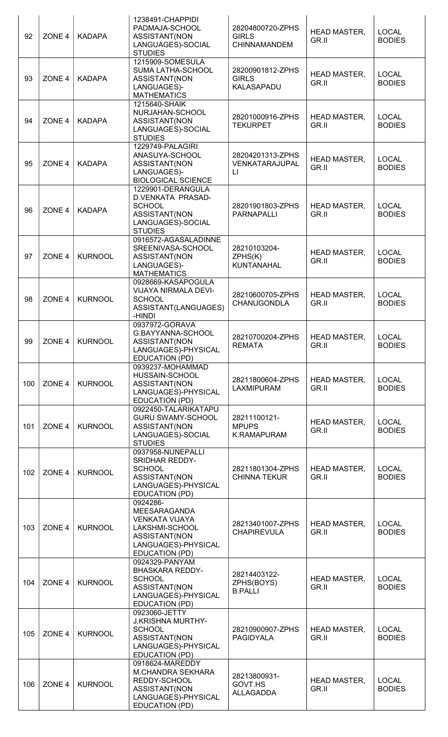| 92  | ZONE <sub>4</sub> | <b>KADAPA</b>  | 1238491-CHAPPIDI<br>PADMAJA-SCHOOL<br>ASSISTANT(NON<br>LANGUAGES)-SOCIAL<br><b>STUDIES</b>                                                  | 28204800720-ZPHS<br><b>GIRLS</b><br><b>CHINNAMANDEM</b> | <b>HEAD MASTER,</b><br>GR.II | <b>LOCAL</b><br><b>BODIES</b> |
|-----|-------------------|----------------|---------------------------------------------------------------------------------------------------------------------------------------------|---------------------------------------------------------|------------------------------|-------------------------------|
| 93  | ZONE <sub>4</sub> | <b>KADAPA</b>  | 1215909-SOMESULA<br>SUMA LATHA-SCHOOL<br>ASSISTANT(NON<br>LANGUAGES)-<br><b>MATHEMATICS</b>                                                 | 28200901812-ZPHS<br><b>GIRLS</b><br><b>KALASAPADU</b>   | <b>HEAD MASTER,</b><br>GR.II | <b>LOCAL</b><br><b>BODIES</b> |
| 94  | ZONE <sub>4</sub> | <b>KADAPA</b>  | 1215640-SHAIK<br>NURJAHAN-SCHOOL<br>ASSISTANT(NON<br>LANGUAGES)-SOCIAL<br><b>STUDIES</b>                                                    | 28201000916-ZPHS<br><b>TEKURPET</b>                     | <b>HEAD MASTER,</b><br>GR.II | <b>LOCAL</b><br><b>BODIES</b> |
| 95  | ZONE <sub>4</sub> | <b>KADAPA</b>  | 1229749-PALAGIRI<br>ANASUYA-SCHOOL<br>ASSISTANT(NON<br>LANGUAGES)-<br><b>BIOLOGICAL SCIENCE</b>                                             | 28204201313-ZPHS<br>VENKATARAJUPAL<br>LI                | <b>HEAD MASTER,</b><br>GR.II | <b>LOCAL</b><br><b>BODIES</b> |
| 96  | ZONE <sub>4</sub> | <b>KADAPA</b>  | 1229901-DERANGULA<br>D.VENKATA PRASAD-<br><b>SCHOOL</b><br>ASSISTANT(NON<br>LANGUAGES)-SOCIAL<br><b>STUDIES</b>                             | 28201901803-ZPHS<br><b>PARNAPALLI</b>                   | <b>HEAD MASTER,</b><br>GR.II | <b>LOCAL</b><br><b>BODIES</b> |
| 97  | ZONE <sub>4</sub> | <b>KURNOOL</b> | 0916572-AGASALADINNE<br>SREENIVASA-SCHOOL<br>ASSISTANT(NON<br>LANGUAGES)-<br><b>MATHEMATICS</b>                                             | 28210103204-<br>ZPHS(K)<br>KUNTANAHAL                   | <b>HEAD MASTER,</b><br>GR.II | <b>LOCAL</b><br><b>BODIES</b> |
| 98  | ZONE <sub>4</sub> | <b>KURNOOL</b> | 0928669-KASAPOGULA<br>VIJAYA NIRMALA DEVI-<br><b>SCHOOL</b><br>ASSISTANT(LANGUAGES)<br>-HINDI                                               | 28210600705-ZPHS<br><b>CHANUGONDLA</b>                  | <b>HEAD MASTER,</b><br>GR.II | <b>LOCAL</b><br><b>BODIES</b> |
| 99  | ZONE 4            | <b>KURNOOL</b> | 0937972-GORAVA<br>G.BAYYANNA-SCHOOL<br>ASSISTANT(NON<br>LANGUAGES)-PHYSICAL<br><b>EDUCATION (PD)</b>                                        | 28210700204-ZPHS<br>REMAIA                              | <b>HEAD MASTER,</b><br>GR.II | <b>LOCAL</b><br><b>BODIES</b> |
| 100 | ZONE <sub>4</sub> | <b>KURNOOL</b> | 0939237-MOHAMMAD<br>HUSSAIN-SCHOOL<br>ASSISTANT(NON<br>LANGUAGES)-PHYSICAL<br>EDUCATION (PD)                                                | 28211800604-ZPHS<br><b>LAXMIPURAM</b>                   | <b>HEAD MASTER,</b><br>GR.II | <b>LOCAL</b><br><b>BODIES</b> |
| 101 | ZONE <sub>4</sub> | <b>KURNOOL</b> | 0922450-TALARIKATAPU<br><b>GURU SWAMY-SCHOOL</b><br>ASSISTANT(NON<br>LANGUAGES)-SOCIAL<br><b>STUDIES</b>                                    | 28211100121-<br><b>MPUPS</b><br>K.RAMAPURAM             | <b>HEAD MASTER,</b><br>GR.II | <b>LOCAL</b><br><b>BODIES</b> |
| 102 | ZONE <sub>4</sub> | <b>KURNOOL</b> | 0937958-NUNEPALLI<br>SRIDHAR REDDY-<br><b>SCHOOL</b><br>ASSISTANT(NON<br>LANGUAGES)-PHYSICAL<br><b>EDUCATION (PD)</b>                       | 28211801304-ZPHS<br><b>CHINNA TEKUR</b>                 | <b>HEAD MASTER,</b><br>GR.II | <b>LOCAL</b><br><b>BODIES</b> |
| 103 | ZONE <sub>4</sub> | <b>KURNOOL</b> | 0924286-<br><b>MEESARAGANDA</b><br><b>VENKATA VIJAYA</b><br>LAKSHMI-SCHOOL<br>ASSISTANT(NON<br>LANGUAGES)-PHYSICAL<br><b>EDUCATION (PD)</b> | 28213401007-ZPHS<br><b>CHAPIREVULA</b>                  | <b>HEAD MASTER,</b><br>GR.II | <b>LOCAL</b><br><b>BODIES</b> |
| 104 | ZONE 4            | <b>KURNOOL</b> | 0924329-PANYAM<br><b>BHASKARA REDDY-</b><br><b>SCHOOL</b><br>ASSISTANT(NON<br>LANGUAGES)-PHYSICAL<br><b>EDUCATION (PD)</b>                  | 28214403122-<br>ZPHS(BOYS)<br><b>B.PALLI</b>            | <b>HEAD MASTER,</b><br>GR.II | <b>LOCAL</b><br><b>BODIES</b> |
| 105 | ZONE <sub>4</sub> | <b>KURNOOL</b> | 0923060-JETTY<br><b>J.KRISHNA MURTHY-</b><br><b>SCHOOL</b><br>ASSISTANT(NON<br>LANGUAGES)-PHYSICAL<br><b>EDUCATION (PD)</b>                 | 28210900907-ZPHS<br><b>PAGIDYALA</b>                    | <b>HEAD MASTER,</b><br>GR.II | <b>LOCAL</b><br><b>BODIES</b> |
| 106 | ZONE <sub>4</sub> | <b>KURNOOL</b> | 0918624-MAREDDY<br><b>M.CHANDRA SEKHARA</b><br>REDDY-SCHOOL<br>ASSISTANT(NON<br>LANGUAGES)-PHYSICAL<br>EDUCATION (PD)                       | 28213800931-<br>GOVT.HS<br><b>ALLAGADDA</b>             | <b>HEAD MASTER,</b><br>GR.II | <b>LOCAL</b><br><b>BODIES</b> |